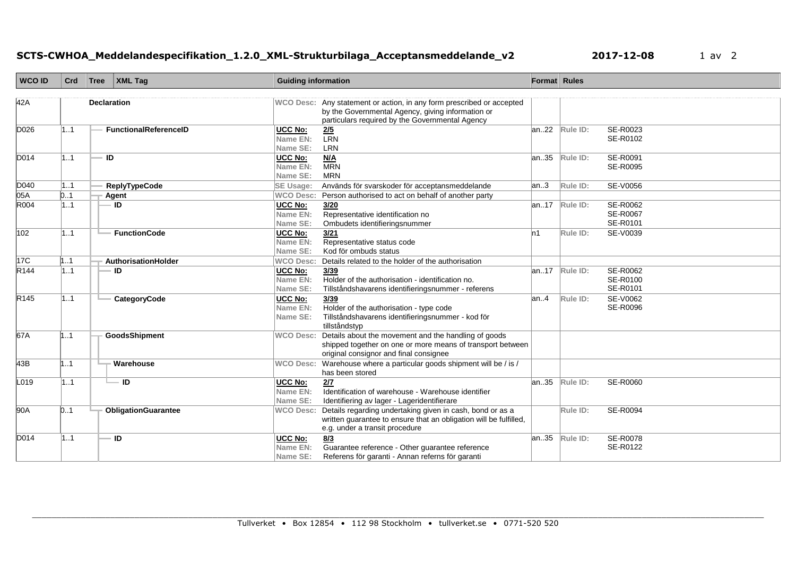## **SCTS-CWHOA\_Meddelandespecifikation\_1.2.0\_XML-Strukturbilaga\_Acceptansmeddelande\_v2 2017-12-08** 1 av 2

| <b>WCO ID</b>    | Crd | Tree               | <b>XML Tag</b>             | <b>Guiding information</b>             |                                                                                                                                                                               | Format Rules |                             |                                  |
|------------------|-----|--------------------|----------------------------|----------------------------------------|-------------------------------------------------------------------------------------------------------------------------------------------------------------------------------|--------------|-----------------------------|----------------------------------|
| 42A              |     | <b>Declaration</b> |                            |                                        | WCO Desc: Any statement or action, in any form prescribed or accepted<br>by the Governmental Agency, giving information or<br>particulars required by the Governmental Agency |              |                             |                                  |
| D026             | 1.1 |                    | FunctionalReferenceID      | <b>UCC No:</b><br>Name EN:<br>Name SE: | $\overline{2/5}$<br><b>LRN</b><br>LRN                                                                                                                                         | an22         | Rule ID:                    | SE-R0023<br>SE-R0102             |
| D014             | 1.1 | ID                 |                            | UCC No:<br>Name EN:<br>Name SE:        | M/A<br><b>MRN</b><br><b>MRN</b>                                                                                                                                               | an.35        | Rule ID:                    | SE-R0091<br><b>SE-R0095</b>      |
| D040             | 1.1 |                    | <b>ReplyTypeCode</b>       | <b>SE Usage:</b>                       | Används för svarskoder för acceptansmeddelande                                                                                                                                | an.3         | Rule ID:                    | <b>SE-V0056</b>                  |
| 05A              | 0.1 |                    | Agent                      | <b>WCO Desc:</b>                       | Person authorised to act on behalf of another party                                                                                                                           |              |                             |                                  |
| R004             | 1.1 |                    | <b>ID</b>                  | <b>UCC No:</b><br>Name EN:<br>Name SE: | 3/20<br>Representative identification no<br>Ombudets identifieringsnummer                                                                                                     |              | $\overline{an}.17$ Rule ID: | SE-R0062<br>SE-R0067<br>SE-R0101 |
| 102              | 11  |                    | <b>FunctionCode</b>        | UCC No:<br>Name EN:<br>Name SE:        | 3/21<br>Representative status code<br>Kod för ombuds status                                                                                                                   | ln 1         | Rule ID:                    | SE-V0039                         |
| 17 <sup>C</sup>  | 1.1 |                    | AuthorisationHolder        | <b>WCO Desc:</b>                       | Details related to the holder of the authorisation                                                                                                                            |              |                             |                                  |
| R <sub>144</sub> | 1.1 |                    | ID                         | UCC No:<br>Name EN:<br>Name SE:        | 3/39<br>Holder of the authorisation - identification no.<br>Tillståndshavarens identifieringsnummer - referens                                                                | an17         | Rule ID:                    | SE-R0062<br>SE-R0100<br>SE-R0101 |
| R145             | 11  |                    | CategoryCode               | UCC No:<br>Name EN:<br>Name SE:        | 3/39<br>Holder of the authorisation - type code<br>Tillståndshavarens identifieringsnummer - kod för<br>tillståndstyp                                                         | lan.4        | Rule ID:                    | SE-V0062<br><b>SE-R0096</b>      |
| 67A              | 11  |                    | GoodsShipment              | <b>WCO Desc:</b>                       | Details about the movement and the handling of goods<br>shipped together on one or more means of transport between<br>original consignor and final consignee                  |              |                             |                                  |
| 43B              | 11  |                    | Warehouse                  |                                        | WCO Desc: Warehouse where a particular goods shipment will be / is /<br>has been stored                                                                                       |              |                             |                                  |
| L019             | 1.1 |                    | $=$ ID                     | UCC No:<br>Name EN:<br>Name SE:        | 2/7<br>Identification of warehouse - Warehouse identifier<br>Identifiering av lager - Lageridentifierare                                                                      | an35         | Rule ID:                    | SE-R0060                         |
| 90A              | 0.1 |                    | <b>ObligationGuarantee</b> | <b>WCO Desc:</b>                       | Details regarding undertaking given in cash, bond or as a<br>written guarantee to ensure that an obligation will be fulfilled,<br>e.g. under a transit procedure              |              | Rule ID:                    | SE-R0094                         |
| D014             | 11  |                    | ID                         | <b>UCC No:</b><br>Name EN:<br>Name SE: | 8/3<br>Guarantee reference - Other guarantee reference<br>Referens för garanti - Annan referns för garanti                                                                    | an35         | Rule ID:                    | SE-R0078<br>SE-R0122             |